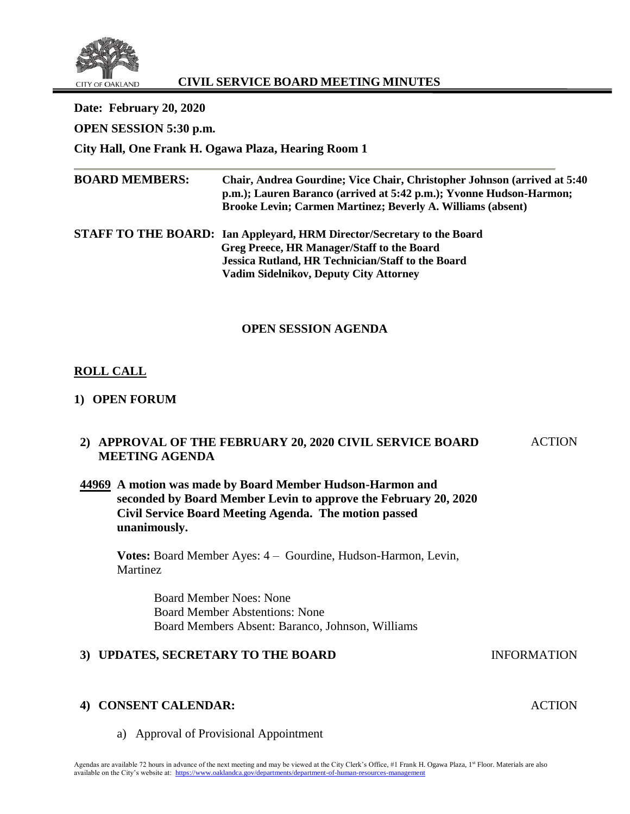

## **CIVIL SERVICE BOARD MEETING MINUTES**

| Date: February 20, 2020<br>OPEN SESSION 5:30 p.m.<br>City Hall, One Frank H. Ogawa Plaza, Hearing Room 1 |                                                                                                                                                                                                                                          |
|----------------------------------------------------------------------------------------------------------|------------------------------------------------------------------------------------------------------------------------------------------------------------------------------------------------------------------------------------------|
| <b>BOARD MEMBERS:</b>                                                                                    | Chair, Andrea Gourdine; Vice Chair, Christopher Johnson (arrived at 5:40)<br>p.m.); Lauren Baranco (arrived at 5:42 p.m.); Yvonne Hudson-Harmon;<br><b>Brooke Levin; Carmen Martinez; Beverly A. Williams (absent)</b>                   |
|                                                                                                          | STAFF TO THE BOARD: Ian Appleyard, HRM Director/Secretary to the Board<br><b>Greg Preece, HR Manager/Staff to the Board</b><br><b>Jessica Rutland, HR Technician/Staff to the Board</b><br><b>Vadim Sidelnikov, Deputy City Attorney</b> |

#### **OPEN SESSION AGENDA**

## **ROLL CALL**

## **1) OPEN FORUM**

#### **2) APPROVAL OF THE FEBRUARY 20, 2020 CIVIL SERVICE BOARD MEETING AGENDA ACTION**

## **44969 A motion was made by Board Member Hudson-Harmon and seconded by Board Member Levin to approve the February 20, 2020 Civil Service Board Meeting Agenda. The motion passed unanimously.**

**Votes:** Board Member Ayes: 4 – Gourdine, Hudson-Harmon, Levin, **Martinez** 

> Board Member Noes: None Board Member Abstentions: None Board Members Absent: Baranco, Johnson, Williams

#### **3) UPDATES, SECRETARY TO THE BOARD** INFORMATION

#### **4) CONSENT CALENDAR:**

a) Approval of Provisional Appointment

ACTION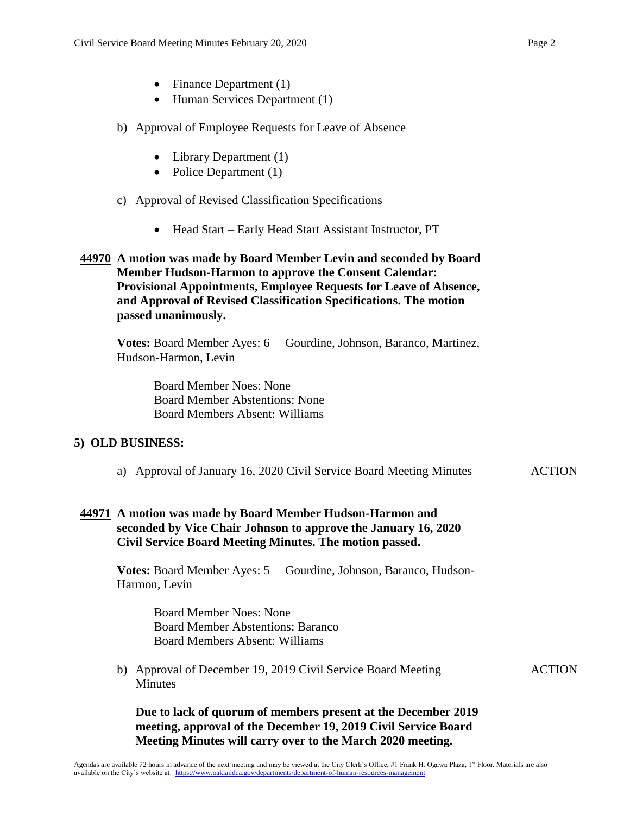ACTION

- Finance Department (1)
- Human Services Department (1)
- b) Approval of Employee Requests for Leave of Absence
	- Library Department (1)
	- Police Department (1)

### c) Approval of Revised Classification Specifications

- Head Start Early Head Start Assistant Instructor, PT
- **44970 A motion was made by Board Member Levin and seconded by Board Member Hudson-Harmon to approve the Consent Calendar: Provisional Appointments, Employee Requests for Leave of Absence, and Approval of Revised Classification Specifications. The motion passed unanimously.**

**Votes:** Board Member Ayes: 6 – Gourdine, Johnson, Baranco, Martinez, Hudson-Harmon, Levin

Board Member Noes: None Board Member Abstentions: None Board Members Absent: Williams

#### **5) OLD BUSINESS:**

a) Approval of January 16, 2020 Civil Service Board Meeting Minutes ACTION

#### **44971 A motion was made by Board Member Hudson-Harmon and seconded by Vice Chair Johnson to approve the January 16, 2020 Civil Service Board Meeting Minutes. The motion passed.**

**Votes:** Board Member Ayes: 5 – Gourdine, Johnson, Baranco, Hudson-Harmon, Levin

> Board Member Noes: None Board Member Abstentions: Baranco Board Members Absent: Williams

b) Approval of December 19, 2019 Civil Service Board Meeting Minutes

**Due to lack of quorum of members present at the December 2019 meeting, approval of the December 19, 2019 Civil Service Board Meeting Minutes will carry over to the March 2020 meeting.**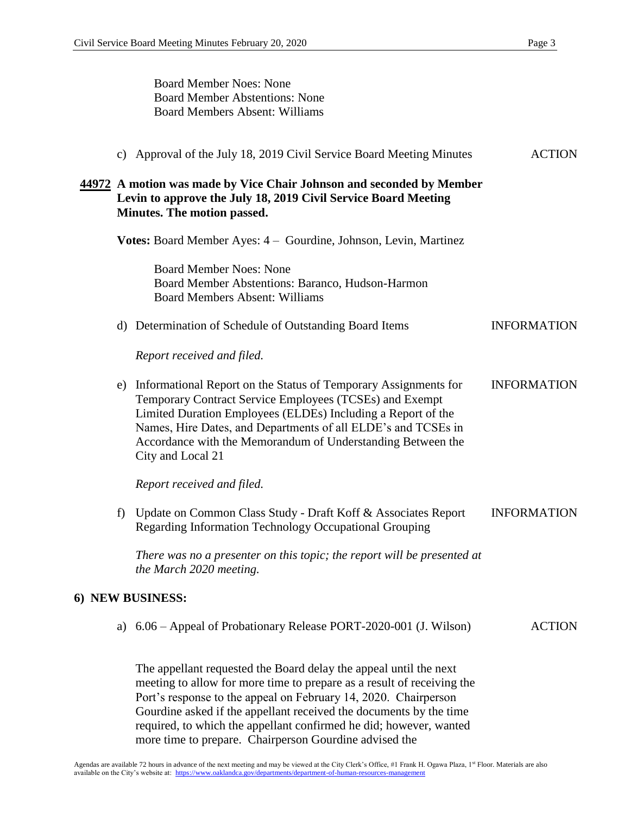Board Member Noes: None Board Member Abstentions: None Board Members Absent: Williams c) Approval of the July 18, 2019 Civil Service Board Meeting Minutes ACTION **44972 A motion was made by Vice Chair Johnson and seconded by Member Levin to approve the July 18, 2019 Civil Service Board Meeting Minutes. The motion passed. Votes:** Board Member Ayes: 4 – Gourdine, Johnson, Levin, Martinez Board Member Noes: None Board Member Abstentions: Baranco, Hudson-Harmon Board Members Absent: Williams d) Determination of Schedule of Outstanding Board Items INFORMATION *Report received and filed.* e) Informational Report on the Status of Temporary Assignments for Temporary Contract Service Employees (TCSEs) and Exempt Limited Duration Employees (ELDEs) Including a Report of the Names, Hire Dates, and Departments of all ELDE's and TCSEs in Accordance with the Memorandum of Understanding Between the City and Local 21 *Report received and filed.* INFORMATION f) Update on Common Class Study - Draft Koff & Associates Report Regarding Information Technology Occupational Grouping *There was no a presenter on this topic; the report will be presented at the March 2020 meeting.* INFORMATION **6) NEW BUSINESS:** a) 6.06 – Appeal of Probationary Release PORT-2020-001 (J. Wilson) ACTION The appellant requested the Board delay the appeal until the next meeting to allow for more time to prepare as a result of receiving the Port's response to the appeal on February 14, 2020. Chairperson Gourdine asked if the appellant received the documents by the time required, to which the appellant confirmed he did; however, wanted more time to prepare. Chairperson Gourdine advised the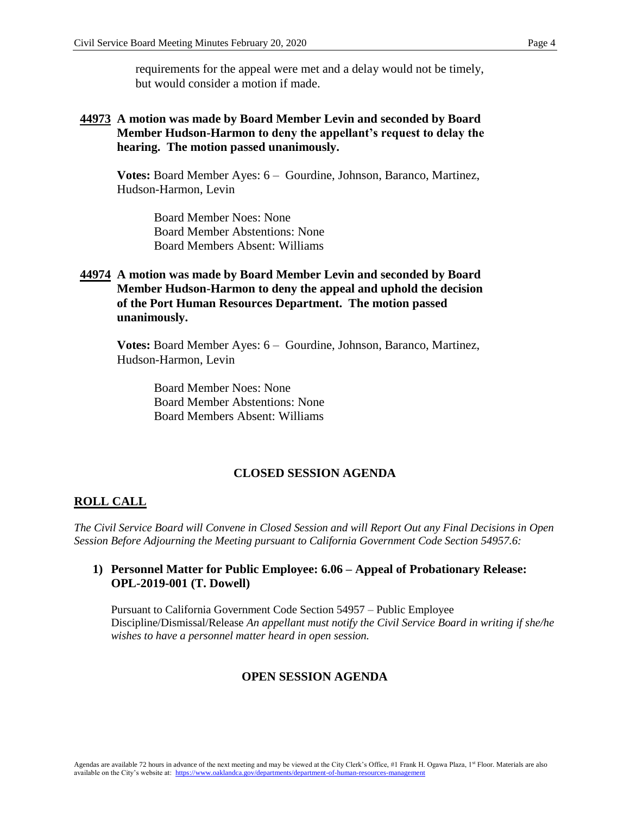requirements for the appeal were met and a delay would not be timely, but would consider a motion if made.

## **44973 A motion was made by Board Member Levin and seconded by Board Member Hudson-Harmon to deny the appellant's request to delay the hearing. The motion passed unanimously.**

**Votes:** Board Member Ayes: 6 – Gourdine, Johnson, Baranco, Martinez, Hudson-Harmon, Levin

Board Member Noes: None Board Member Abstentions: None Board Members Absent: Williams

## **44974 A motion was made by Board Member Levin and seconded by Board Member Hudson-Harmon to deny the appeal and uphold the decision of the Port Human Resources Department. The motion passed unanimously.**

**Votes:** Board Member Ayes: 6 – Gourdine, Johnson, Baranco, Martinez, Hudson-Harmon, Levin

Board Member Noes: None Board Member Abstentions: None Board Members Absent: Williams

#### **CLOSED SESSION AGENDA**

#### **ROLL CALL**

*The Civil Service Board will Convene in Closed Session and will Report Out any Final Decisions in Open Session Before Adjourning the Meeting pursuant to California Government Code Section 54957.6:*

#### **1) Personnel Matter for Public Employee: 6.06 – Appeal of Probationary Release: OPL-2019-001 (T. Dowell)**

Pursuant to California Government Code Section 54957 – Public Employee Discipline/Dismissal/Release *An appellant must notify the Civil Service Board in writing if she/he wishes to have a personnel matter heard in open session.*

#### **OPEN SESSION AGENDA**